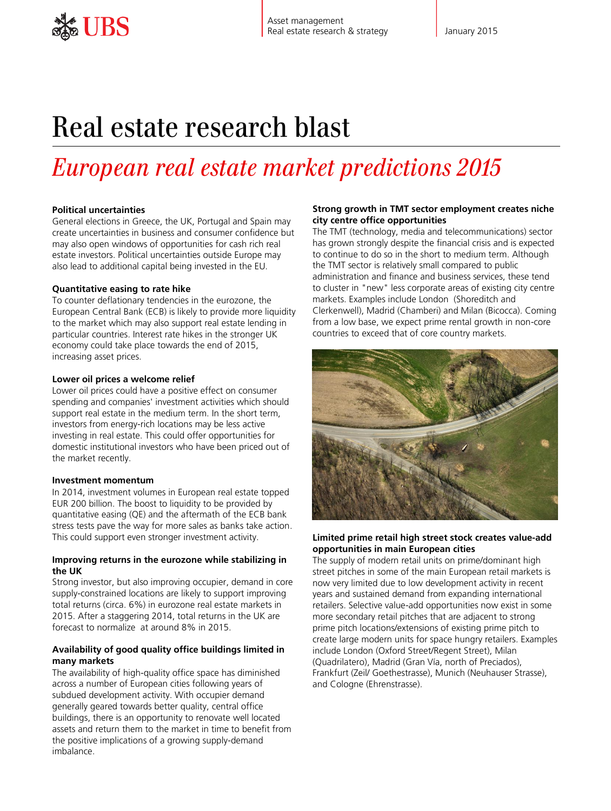# Real estate research blast

# *European real estate market predictions 2015*

# **Political uncertainties**

General elections in Greece, the UK, Portugal and Spain may create uncertainties in business and consumer confidence but may also open windows of opportunities for cash rich real estate investors. Political uncertainties outside Europe may also lead to additional capital being invested in the EU.

# **Quantitative easing to rate hike**

To counter deflationary tendencies in the eurozone, the European Central Bank (ECB) is likely to provide more liquidity to the market which may also support real estate lending in particular countries. Interest rate hikes in the stronger UK economy could take place towards the end of 2015, increasing asset prices.

# **Lower oil prices a welcome relief**

Lower oil prices could have a positive effect on consumer spending and companies' investment activities which should support real estate in the medium term. In the short term, investors from energy-rich locations may be less active investing in real estate. This could offer opportunities for domestic institutional investors who have been priced out of the market recently.

# **Investment momentum**

In 2014, investment volumes in European real estate topped EUR 200 billion. The boost to liquidity to be provided by quantitative easing (QE) and the aftermath of the ECB bank stress tests pave the way for more sales as banks take action. This could support even stronger investment activity.

#### **Improving returns in the eurozone while stabilizing in the UK**

Strong investor, but also improving occupier, demand in core supply-constrained locations are likely to support improving total returns (circa. 6%) in eurozone real estate markets in 2015. After a staggering 2014, total returns in the UK are forecast to normalize at around 8% in 2015.

# **Availability of good quality office buildings limited in many markets**

The availability of high-quality office space has diminished across a number of European cities following years of subdued development activity. With occupier demand generally geared towards better quality, central office buildings, there is an opportunity to renovate well located assets and return them to the market in time to benefit from the positive implications of a growing supply-demand imbalance.

#### **Strong growth in TMT sector employment creates niche city centre office opportunities**

The TMT (technology, media and telecommunications) sector has grown strongly despite the financial crisis and is expected to continue to do so in the short to medium term. Although the TMT sector is relatively small compared to public administration and finance and business services, these tend to cluster in "new" less corporate areas of existing city centre markets. Examples include London (Shoreditch and Clerkenwell), Madrid (Chamberi) and Milan (Bicocca). Coming from a low base, we expect prime rental growth in non-core countries to exceed that of core country markets.



#### **Limited prime retail high street stock creates value-add opportunities in main European cities**

The supply of modern retail units on prime/dominant high street pitches in some of the main European retail markets is now very limited due to low development activity in recent years and sustained demand from expanding international retailers. Selective value-add opportunities now exist in some more secondary retail pitches that are adjacent to strong prime pitch locations/extensions of existing prime pitch to create large modern units for space hungry retailers. Examples include London (Oxford Street/Regent Street), Milan (Quadrilatero), Madrid (Gran Vía, north of Preciados), Frankfurt (Zeil/ Goethestrasse), Munich (Neuhauser Strasse), and Cologne (Ehrenstrasse).